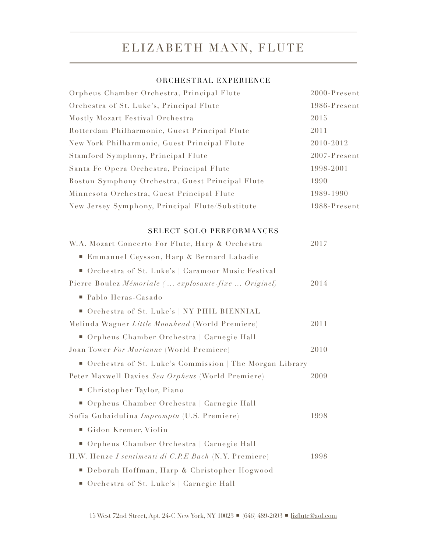# ELIZABETH MANN, FLUTE

# ORCHESTRAL EXPERIENCE

| Orpheus Chamber Orchestra, Principal Flute              | $2000$ -Present |
|---------------------------------------------------------|-----------------|
| Orchestra of St. Luke's, Principal Flute                | 1986-Present    |
| Mostly Mozart Festival Orchestra                        | 2015            |
| Rotterdam Philharmonic, Guest Principal Flute           | 2011            |
| New York Philharmonic, Guest Principal Flute            | 2010-2012       |
| Stamford Symphony, Principal Flute                      | 2007-Present    |
| Santa Fe Opera Orchestra, Principal Flute               | 1998-2001       |
| Boston Symphony Orchestra, Guest Principal Flute        | 1990            |
| Minnesota Orchestra, Guest Principal Flute              | 1989-1990       |
| New Jersey Symphony, Principal Flute/Substitute         | 1988-Present    |
| SELECT SOLO PERFORMANCES                                |                 |
| W.A. Mozart Concerto For Flute, Harp & Orchestra        | 2017            |
| ■ Emmanuel Ceysson, Harp & Bernard Labadie              |                 |
| Orchestra of St. Luke's   Caramoor Music Festival       |                 |
| Pierre Boulez Mémoriale ( explosante-fixe  Originel)    | 2014            |
| ■ Pablo Heras-Casado                                    |                 |
| Orchestra of St. Luke's   NY PHIL BIENNIAL              |                 |
| Melinda Wagner Little Moonhead (World Premiere)         | 2011            |
| ■ Orpheus Chamber Orchestra   Carnegie Hall             |                 |
| Joan Tower For Marianne (World Premiere)                | 2010            |
| Orchestra of St. Luke's Commission   The Morgan Library |                 |
| Peter Maxwell Davies Sea Orpheus (World Premiere)       | 2009            |
| ■ Christopher Taylor, Piano                             |                 |
| ■ Orpheus Chamber Orchestra   Carnegie Hall             |                 |
| Sofia Gubaidulina Impromptu (U.S. Premiere)             | 1998            |
| ■ Gidon Kremer, Violin                                  |                 |
| ■ Orpheus Chamber Orchestra   Carnegie Hall             |                 |
| H.W. Henze I sentimenti di C.P.E Bach (N.Y. Premiere)   | 1998            |
| ■ Deborah Hoffman, Harp & Christopher Hogwood           |                 |
| ■ Orchestra of St. Luke's   Carnegie Hall               |                 |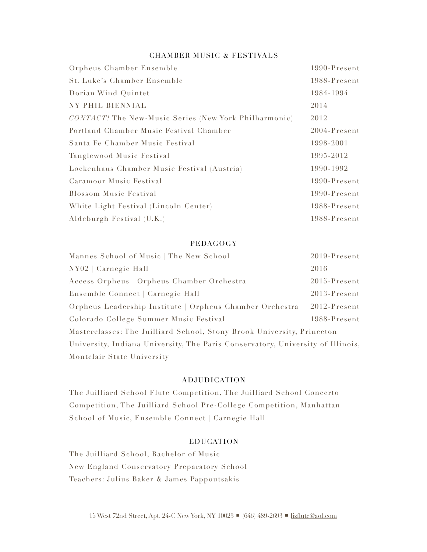#### CHAMBER MUSIC & FESTIVALS

| Orpheus Chamber Ensemble                              | 1990-Present |
|-------------------------------------------------------|--------------|
| <b>St. Luke's Chamber Ensemble</b>                    | 1988-Present |
| Dorian Wind Quintet                                   | 1984-1994    |
| NY PHIL BIENNIAL                                      | 2014         |
| CONTACT! The New-Music Series (New York Philharmonic) | 2012         |
| Portland Chamber Music Festival Chamber               | 2004-Present |
| Santa Fe Chamber Music Festival                       | 1998-2001    |
| Tanglewood Music Festival                             | 1995-2012    |
| Lockenhaus Chamber Music Festival (Austria)           | 1990-1992    |
| Caramoor Music Festival                               | 1990-Present |
| <b>Blossom Music Festival</b>                         | 1990-Present |
| White Light Festival (Lincoln Center)                 | 1988-Present |
| Aldeburgh Festival (U.K.)                             | 1988-Present |

#### PEDAGOGY

| Mannes School of Music   The New School                                         | 2019-Present    |
|---------------------------------------------------------------------------------|-----------------|
| NY02   Carnegie Hall                                                            | 2016            |
| Access Orpheus   Orpheus Chamber Orchestra                                      | $2015$ -Present |
| Ensemble Connect   Carnegie Hall                                                | 2013-Present    |
| Orpheus Leadership Institute   Orpheus Chamber Orchestra                        | 2012-Present    |
| Colorado College Summer Music Festival                                          | 1988-Present    |
| Masterclasses: The Juilliard School, Stony Brook University, Princeton          |                 |
| University, Indiana University, The Paris Conservatory, University of Illinois, |                 |
| Montclair State University                                                      |                 |

## ADJUDICATION

 The Juilliard School Flute Competition, The Juilliard School Concerto Competition, The Juilliard School Pre-College Competition, Manhattan School of Music, Ensemble Connect | Carnegie Hall

## EDUCATION

 The Juilliard School, Bachelor of Music New England Conservatory Preparatory School Teachers: Julius Baker & James Pappoutsakis